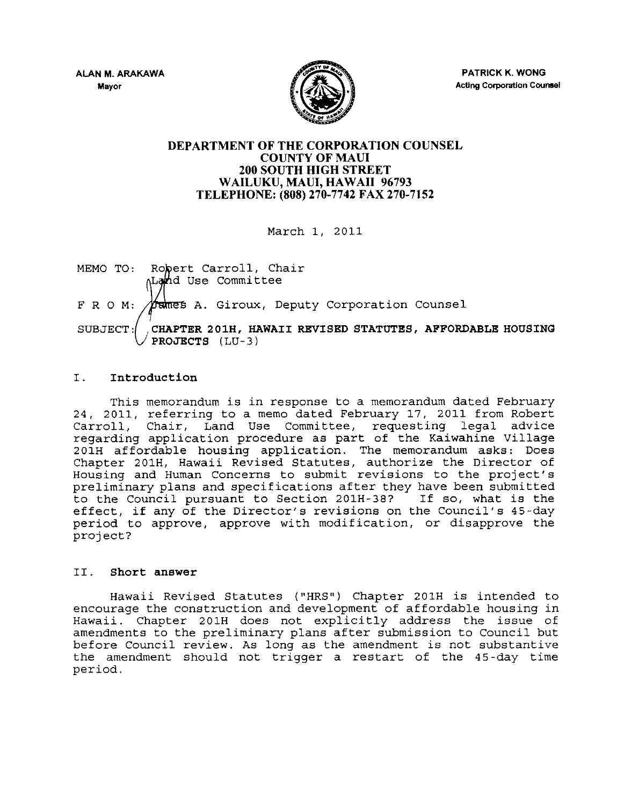

PATRICK K. WONG Acting Corporation Counsel

## DEPARTMENT OF THE CORPORATION COUNSEL COUNTY OF MAUl 200 SOUTH HIGH STREET WAILUKU, MAUl, HAWAII 96793 TELEPHONE: (808) 270-7742 FAX 270-7152

March 1, 2011

MEMO TO: Robert Carroll, Chair Land Use Committee  $F R O M$ :  $\cancel{m}$ ames A. Giroux, Deputy Corporation Counsel SUBJECT: CHAPTER 201H, HAWAII REVISED STATUTES, AFFORDABLE HOUSING PROJECTS (LU-3)

# I. Introduction

This memorandum is in response to a memorandum dated February 24, 2011, referring to a memo dated February 17, 2011 from Robert Carroll, Chair, Land Use Committee, requesting legal advice regarding application procedure as part of the Kaiwahine village 201H affordable housing application. The memorandum asks: Does Chapter 201H, Hawaii Revised Statutes, authorize the Director of Housing and Human Concerns to submit revisions to the project's preliminary plans and specifications after they have been submitted to the Council pursuant to Section 201H-38? If so, what is the effect, if any of the Director's revisions on the Council's 4S-day period to approve, approve with modification, or disapprove the project?

## II. Short answer

Hawaii Revised Statutes ("HRS") Chapter 201H is intended to encourage the construction and development of affordable housing in Hawaii. Chapter 201H does not explicitly address the issue of amendments to the preliminary plans after submission to Council but before Council review. As long as the amendment is not substantive the amendment should not trigger a restart of the 45-day time period.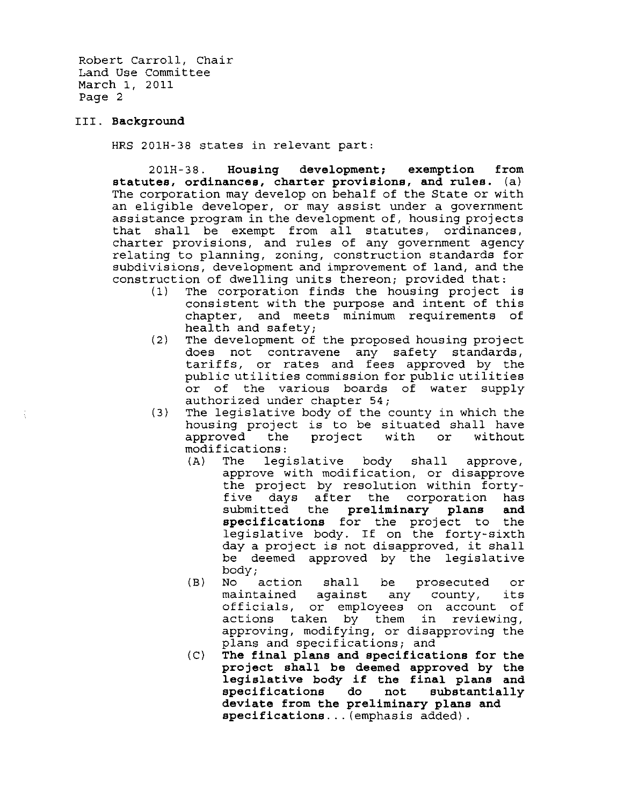Robert Carroll, Chair Land Use Committee March 1, 2011 Page 2

#### III. **Background**

HRS 201H-38 states in relevant part:

201H-38. **Housing development; exemption from statutes. ordinances. charter provisions. and rules.** (a) The corporation may develop on behalf of the State or with an eligible developer, or may assist under a government assistance program in the development of, housing projects that shall be exempt from all statutes, ordinances, charter provisions, and rules of any government agency relating to planning, zoning, construction standards for subdivisions, development and improvement of land, and the construction of dwelling units thereon; provided that:

- (1) The corporation finds the housing project is consistent with the purpose and intent of this chapter, and meets minimum requirements of health and safety;
- (2) The development of the proposed housing project does not contravene any safety standards, tariffs, or rates and fees approved by the public utilities commission for public utilities or of the various boards of water supply authorized under chapter 54;
- (3) The legislative body of the county in which the housing project is to be situated shall have<br>approved the project with or without the project with modifications:
	- $(A)$  The legislative body shall approve, approve with modification, or disapprove the project by resolution within fortyfive days after the corporation has submitted the **preliminary plans and specifications** for the project to the legislative body. If on the forty-sixth day a project is not disapproved, it shall be deemed approved by the legislative body;
	- (B) No action shall be prosecuted or maintained against any county, its officials, or employees on account of actions taken by them in reviewing, approving, modifying, or disapproving the plans and specifications; and
	- (C) **The final plans and specifications for the project shall be deemed approved by the legislative body if the final plans and specifications do not substantially deviate from the preliminary plans and speCifications ...** (emphasis added).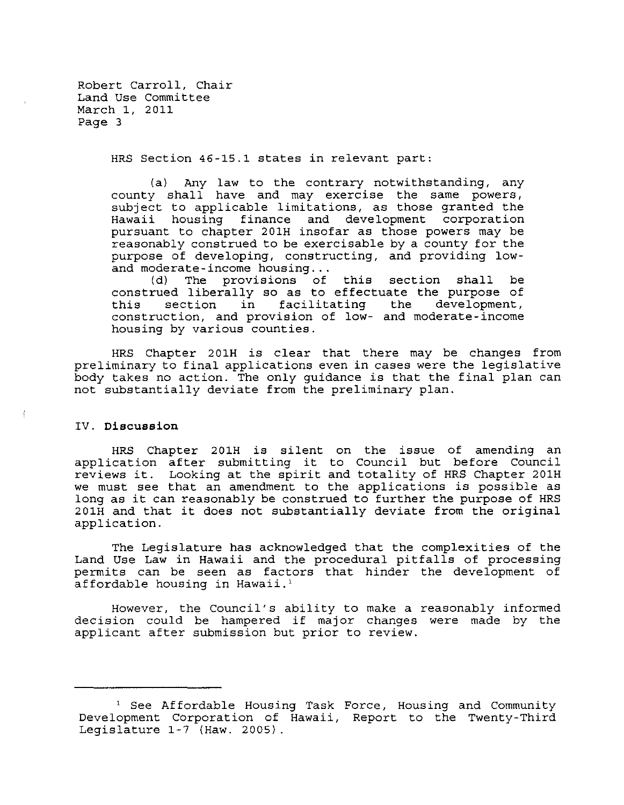Robert Carroll, Chair Land Use Committee March 1, 2011 Page 3

HRS Section 46-15.1 states in relevant part:

(a) Any law to the contrary notwithstanding, any county shall have and may exercise the same powers, subject to applicable limitations, as those granted the Hawaii housing finance and development corporation pursuant to chapter 201H insofar as those powers may be reasonably construed to be exercisable by a county for the purpose of developing, constructing, and providing low-<br>and moderate-income housing...

(d) The provisions of this section shall be construed liberally so as to effectuate the purpose of<br>this section in facilitating the development, this section in facilitating the development, construction, and provision of low- and moderate-income housing by various counties.

HRS Chapter 201H is clear that there may be changes from preliminary to final applications even in cases were the legislative body takes no action. The only guidance is that the final plan can not substantially deviate from the preliminary plan.

### IV. **Discussion**

HRS Chapter 201H is silent on the issue of amending an application after submitting it to Council but before Council reviews it. Looking at the spirit and totality of HRS Chapter 201H we must see that an amendment to the applications is possible as long as it can reasonably be construed to further the purpose of HRS 201H and that it does not substantially deviate from the original application.

The Legislature has acknowledged that the complexities of the Land Use Law in Hawaii and the procedural pitfalls of processing permits can be seen as factors that hinder the development of affordable housing in Hawaii.'

However, the Council's ability to make a reasonably informed decision could be hampered if major changes were made by the applicant after submission but prior to review.

<sup>&</sup>lt;sup>1</sup> See Affordable Housing Task Force, Housing and Community Development Corporation of Hawaii, Report to the Twenty-Third Legislature 1-7 (Haw. 2005).